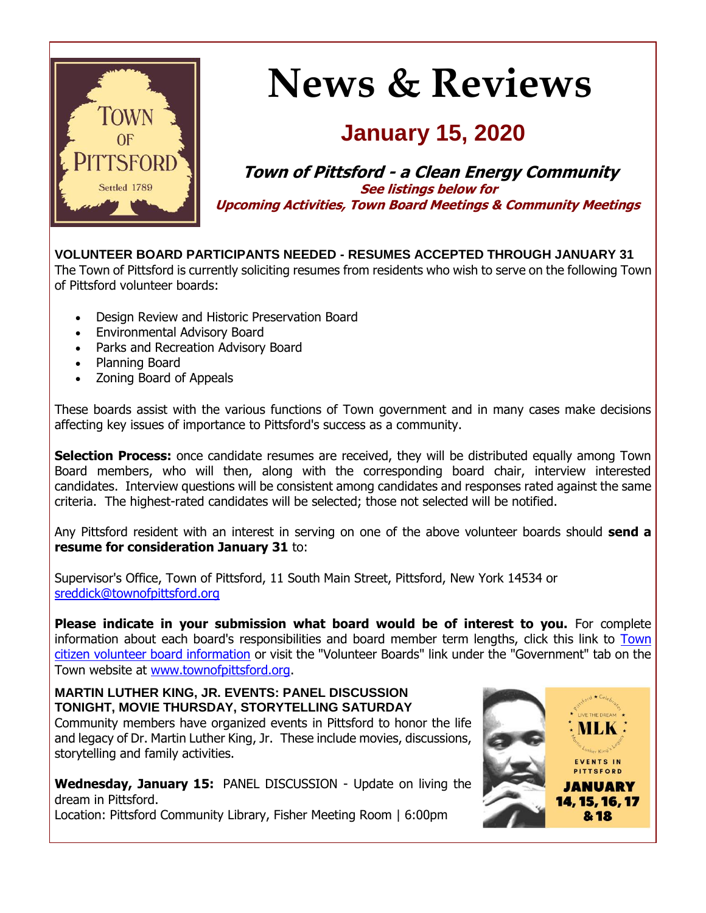

# **News & Reviews**

### **January 15, 2020**

**Town of Pittsford - a Clean Energy Community See listings below for Upcoming Activities, Town Board Meetings & Community Meetings**

**VOLUNTEER BOARD PARTICIPANTS NEEDED - RESUMES ACCEPTED THROUGH JANUARY 31** The Town of Pittsford is currently soliciting resumes from residents who wish to serve on the following Town of Pittsford volunteer boards:

- Design Review and Historic Preservation Board
- Environmental Advisory Board
- Parks and Recreation Advisory Board
- Planning Board
- Zoning Board of Appeals

These boards assist with the various functions of Town government and in many cases make decisions affecting key issues of importance to Pittsford's success as a community.

**Selection Process:** once candidate resumes are received, they will be distributed equally among Town Board members, who will then, along with the corresponding board chair, interview interested candidates. Interview questions will be consistent among candidates and responses rated against the same criteria. The highest-rated candidates will be selected; those not selected will be notified.

Any Pittsford resident with an interest in serving on one of the above volunteer boards should **send a resume for consideration January 31** to:

Supervisor's Office, Town of Pittsford, 11 South Main Street, Pittsford, New York 14534 or [sreddick@townofpittsford.org](mailto:sreddick@townofpittsford.org?subject=Town%20Volunteer%20Board%20application)

**Please indicate in your submission what board would be of interest to you.** For complete information about each board's responsibilities and board member term lengths, click this link to [Town](http://r20.rs6.net/tn.jsp?f=001gNzUSZ4BaEXLFnuthfff-bXt6YK0Q_H61e2aBlEq1gZ5I3Qo1EnXrxtIMvolOzGzSCHO8fmmhLKXuSOqvcwiKZLoFeDB1SPcc0qt231oKj92f7RZS115pmg-Zht7kD55PmSMxDGZtz6CMFCHrgX6SI2RUMBbdXzkbiZ_riNB9on_PWEqE5dRk0G9DRIcOxYq23iOO83tidqMEgpiB2OwQ7z7kXWEHRM1FEQEsR0AqSh2h2QRMw6W8UUFh8dOkU5YoqDgosdrU34SHWfmPXTv3jQROkA8dCRDgiWmuYfuxRHxv0w4Zjjs9vKGnCrtVpfb&c=Z7S5IpREtAEgjMIc3y-oeAcsCzhmpLfiivoqHd5b_1_R0tS2eTUeUA==&ch=A3jvWrNG1PNgQlK1zws7oTger6IwoqHzMP1mGKTYTqqdnzg-1xa-EA==)  [citizen volunteer board information](http://r20.rs6.net/tn.jsp?f=001gNzUSZ4BaEXLFnuthfff-bXt6YK0Q_H61e2aBlEq1gZ5I3Qo1EnXrxtIMvolOzGzSCHO8fmmhLKXuSOqvcwiKZLoFeDB1SPcc0qt231oKj92f7RZS115pmg-Zht7kD55PmSMxDGZtz6CMFCHrgX6SI2RUMBbdXzkbiZ_riNB9on_PWEqE5dRk0G9DRIcOxYq23iOO83tidqMEgpiB2OwQ7z7kXWEHRM1FEQEsR0AqSh2h2QRMw6W8UUFh8dOkU5YoqDgosdrU34SHWfmPXTv3jQROkA8dCRDgiWmuYfuxRHxv0w4Zjjs9vKGnCrtVpfb&c=Z7S5IpREtAEgjMIc3y-oeAcsCzhmpLfiivoqHd5b_1_R0tS2eTUeUA==&ch=A3jvWrNG1PNgQlK1zws7oTger6IwoqHzMP1mGKTYTqqdnzg-1xa-EA==) or visit the "Volunteer Boards" link under the "Government" tab on the Town website at [www.townofpittsford.org.](http://r20.rs6.net/tn.jsp?f=001gNzUSZ4BaEXLFnuthfff-bXt6YK0Q_H61e2aBlEq1gZ5I3Qo1EnXr5rwUHkX_QIHxzec1aJo9urnfMg4rwZCCkKIWqW_tDnlfjoJPVZQrf19KPjkiOGyvggkdd6AW9oTvATJlToTveblwSzvTIfhh2XsysI_zD_Xe35WbzgNPZQlqwn9IRF6eWlf-A3LXJ5_2nfuYAzw3UyCEJLEgw8DB_5jGL5BkfEbcFPz3GkSu9cMi71j71k00oAgiS0pH20j34a3_j6CMSnRfawFR0-IlTbOJpUC0xnbQ-Rm5A6TScM=&c=Z7S5IpREtAEgjMIc3y-oeAcsCzhmpLfiivoqHd5b_1_R0tS2eTUeUA==&ch=A3jvWrNG1PNgQlK1zws7oTger6IwoqHzMP1mGKTYTqqdnzg-1xa-EA==)

#### **MARTIN LUTHER KING, JR. EVENTS: PANEL DISCUSSION TONIGHT, MOVIE THURSDAY, STORYTELLING SATURDAY**

Community members have organized events in Pittsford to honor the life and legacy of Dr. Martin Luther King, Jr. These include movies, discussions, storytelling and family activities.

**Wednesday, January 15:** PANEL DISCUSSION - Update on living the dream in Pittsford.

Location: Pittsford Community Library, Fisher Meeting Room | 6:00pm

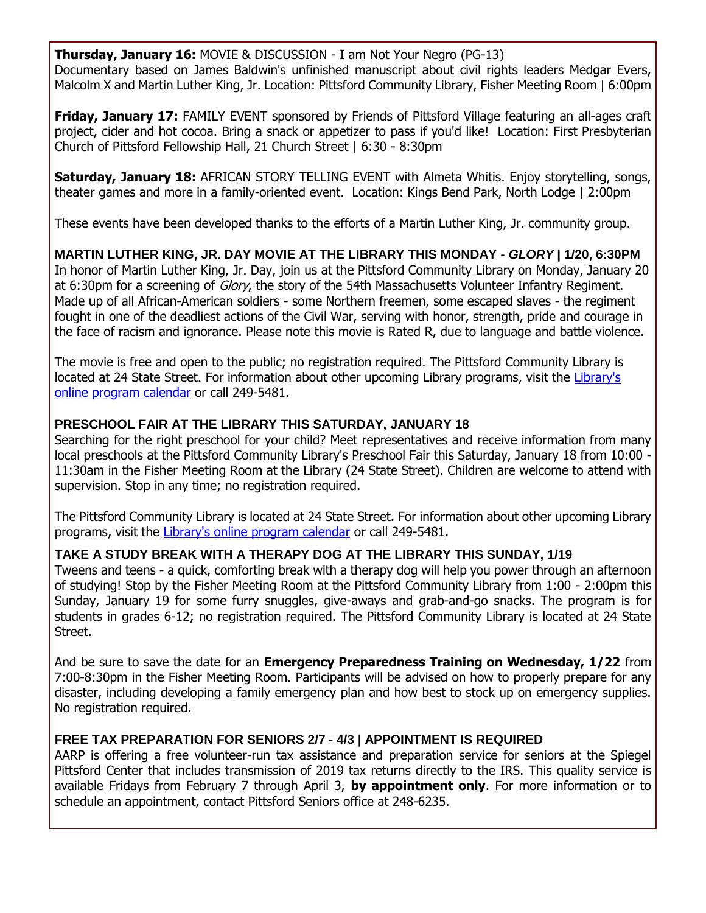**Thursday, January 16:** MOVIE & DISCUSSION - I am Not Your Negro (PG-13) Documentary based on James Baldwin's unfinished manuscript about civil rights leaders Medgar Evers, Malcolm X and Martin Luther King, Jr. Location: Pittsford Community Library, Fisher Meeting Room | 6:00pm

**Friday, January 17:** FAMILY EVENT sponsored by Friends of Pittsford Village featuring an all-ages craft project, cider and hot cocoa. Bring a snack or appetizer to pass if you'd like! Location: First Presbyterian Church of Pittsford Fellowship Hall, 21 Church Street | 6:30 - 8:30pm

**Saturday, January 18:** AFRICAN STORY TELLING EVENT with Almeta Whitis. Enjoy storytelling, songs, theater games and more in a family-oriented event. Location: Kings Bend Park, North Lodge | 2:00pm

These events have been developed thanks to the efforts of a Martin Luther King, Jr. community group.

**MARTIN LUTHER KING, JR. DAY MOVIE AT THE LIBRARY THIS MONDAY -** *GLORY* **| 1/20, 6:30PM** In honor of Martin Luther King, Jr. Day, join us at the Pittsford Community Library on Monday, January 20 at 6:30pm for a screening of *Glory*, the story of the 54th Massachusetts Volunteer Infantry Regiment. Made up of all African-American soldiers - some Northern freemen, some escaped slaves - the regiment fought in one of the deadliest actions of the Civil War, serving with honor, strength, pride and courage in the face of racism and ignorance. Please note this movie is Rated R, due to language and battle violence.

The movie is free and open to the public; no registration required. The Pittsford Community Library is located at 24 State Street. For information about other upcoming Library programs, visit the [Library's](http://r20.rs6.net/tn.jsp?f=001gNzUSZ4BaEXLFnuthfff-bXt6YK0Q_H61e2aBlEq1gZ5I3Qo1EnXr3vL-wUGN2pKeCxsp6Si6NH6OSafoAecoSqNUng2vRYFSesHU-9LpJHwJ0Rf9iSbN9a-qW_dFmdbKL6bnG1puk-REGbW_w9MGvQU6KBu7RkaYKKj2ptw_nyfJzUuAEomxMLbt1gr_Bk6PrKNeIh4yQfp_DEmrsgUt0r0Wsgb52DhsV1XOQF2S901a_S3bGAfGTx7Io2uPKDJqxMCBZflnXmycJxWRBrhQH6lKzujP2Xb8wOLK96KAGp7pkYbHbjqg_jl_TZwjlPy87Rg11Sg64ml2k9n2Wua5ZP39_i77Hu4Ifi3ym9-5GfELO_Vy2BvYM1NZd86qIlW4dNY1-0Th8p8T4WFfftrlw==&c=Z7S5IpREtAEgjMIc3y-oeAcsCzhmpLfiivoqHd5b_1_R0tS2eTUeUA==&ch=A3jvWrNG1PNgQlK1zws7oTger6IwoqHzMP1mGKTYTqqdnzg-1xa-EA==)  [online program calendar](http://r20.rs6.net/tn.jsp?f=001gNzUSZ4BaEXLFnuthfff-bXt6YK0Q_H61e2aBlEq1gZ5I3Qo1EnXr3vL-wUGN2pKeCxsp6Si6NH6OSafoAecoSqNUng2vRYFSesHU-9LpJHwJ0Rf9iSbN9a-qW_dFmdbKL6bnG1puk-REGbW_w9MGvQU6KBu7RkaYKKj2ptw_nyfJzUuAEomxMLbt1gr_Bk6PrKNeIh4yQfp_DEmrsgUt0r0Wsgb52DhsV1XOQF2S901a_S3bGAfGTx7Io2uPKDJqxMCBZflnXmycJxWRBrhQH6lKzujP2Xb8wOLK96KAGp7pkYbHbjqg_jl_TZwjlPy87Rg11Sg64ml2k9n2Wua5ZP39_i77Hu4Ifi3ym9-5GfELO_Vy2BvYM1NZd86qIlW4dNY1-0Th8p8T4WFfftrlw==&c=Z7S5IpREtAEgjMIc3y-oeAcsCzhmpLfiivoqHd5b_1_R0tS2eTUeUA==&ch=A3jvWrNG1PNgQlK1zws7oTger6IwoqHzMP1mGKTYTqqdnzg-1xa-EA==) or call 249-5481.

#### **PRESCHOOL FAIR AT THE LIBRARY THIS SATURDAY, JANUARY 18**

Searching for the right preschool for your child? Meet representatives and receive information from many local preschools at the Pittsford Community Library's Preschool Fair this Saturday, January 18 from 10:00 - 11:30am in the Fisher Meeting Room at the Library (24 State Street). Children are welcome to attend with supervision. Stop in any time; no registration required.

The Pittsford Community Library is located at 24 State Street. For information about other upcoming Library programs, visit the [Library's online program calendar](http://r20.rs6.net/tn.jsp?f=001gNzUSZ4BaEXLFnuthfff-bXt6YK0Q_H61e2aBlEq1gZ5I3Qo1EnXr3vL-wUGN2pKeCxsp6Si6NH6OSafoAecoSqNUng2vRYFSesHU-9LpJHwJ0Rf9iSbN9a-qW_dFmdbKL6bnG1puk-REGbW_w9MGvQU6KBu7RkaYKKj2ptw_nyfJzUuAEomxMLbt1gr_Bk6PrKNeIh4yQfp_DEmrsgUt0r0Wsgb52DhsV1XOQF2S901a_S3bGAfGTx7Io2uPKDJqxMCBZflnXmycJxWRBrhQH6lKzujP2Xb8wOLK96KAGp7pkYbHbjqg_jl_TZwjlPy87Rg11Sg64ml2k9n2Wua5ZP39_i77Hu4Ifi3ym9-5GfELO_Vy2BvYM1NZd86qIlW4dNY1-0Th8p8T4WFfftrlw==&c=Z7S5IpREtAEgjMIc3y-oeAcsCzhmpLfiivoqHd5b_1_R0tS2eTUeUA==&ch=A3jvWrNG1PNgQlK1zws7oTger6IwoqHzMP1mGKTYTqqdnzg-1xa-EA==) or call 249-5481.

#### **TAKE A STUDY BREAK WITH A THERAPY DOG AT THE LIBRARY THIS SUNDAY, 1/19**

Tweens and teens - a quick, comforting break with a therapy dog will help you power through an afternoon of studying! Stop by the Fisher Meeting Room at the Pittsford Community Library from 1:00 - 2:00pm this Sunday, January 19 for some furry snuggles, give-aways and grab-and-go snacks. The program is for students in grades 6-12; no registration required. The Pittsford Community Library is located at 24 State Street.

And be sure to save the date for an **Emergency Preparedness Training on Wednesday, 1/22** from 7:00-8:30pm in the Fisher Meeting Room. Participants will be advised on how to properly prepare for any disaster, including developing a family emergency plan and how best to stock up on emergency supplies. No registration required.

#### **FREE TAX PREPARATION FOR SENIORS 2/7 - 4/3 | APPOINTMENT IS REQUIRED**

AARP is offering a free volunteer-run tax assistance and preparation service for seniors at the Spiegel Pittsford Center that includes transmission of 2019 tax returns directly to the IRS. This quality service is available Fridays from February 7 through April 3, **by appointment only**. For more information or to schedule an appointment, contact Pittsford Seniors office at 248-6235.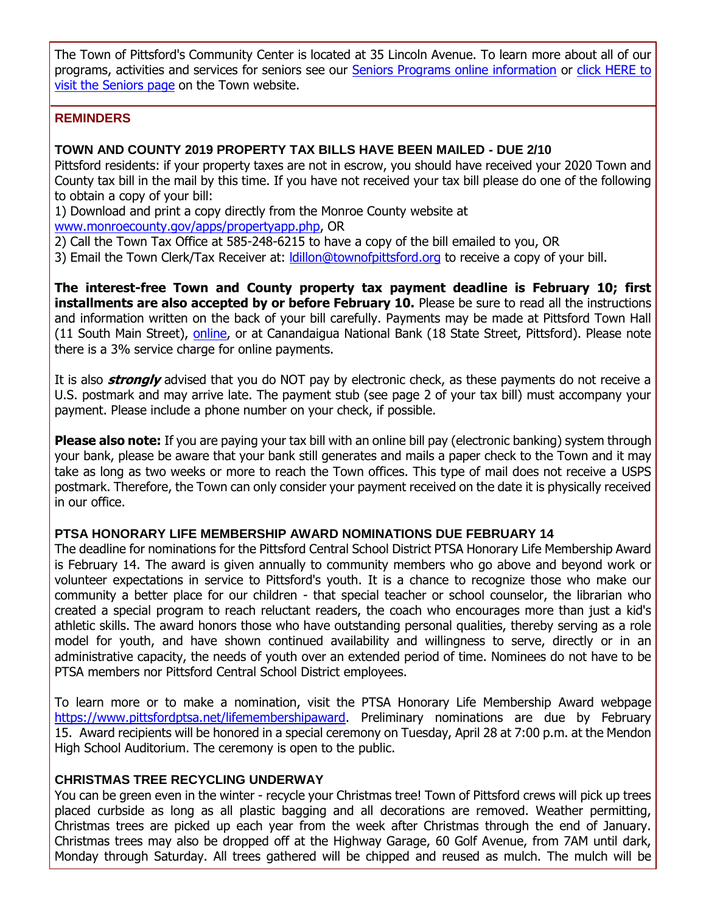The Town of Pittsford's Community Center is located at 35 Lincoln Avenue. To learn more about all of our programs, activities and services for seniors see our **[Seniors Programs online information](http://r20.rs6.net/tn.jsp?f=001gNzUSZ4BaEXLFnuthfff-bXt6YK0Q_H61e2aBlEq1gZ5I3Qo1EnXr_TPgsCJFb01Svb5CG0rKpIfkxUaRUy7emtmfN1FoDqqjP1qzpe3TcYpBPDJw0naiBpIi8T6L8eIlac_9-elY05mI_pX-l2wmPi_bZL_ZAX_NJMwrAOSVmETiXXVXlIh60lrPPt_275632XDTFOcnbESyB8a97ejZvsa91lyWc0jeRP-YTIfR6Soqi6s8qnIycw63t_g7zDYVRq5Z-hsShgR1CYap4HrX2bo6J7EnpXxBhYQqc7T25uSd3DyVxrb0PYc49pARhwmQ0aVvsWXuRkNaiFDlL7uci70k4jA56okMNPhyFdi_fs_KnFfuOmKBQ==&c=Z7S5IpREtAEgjMIc3y-oeAcsCzhmpLfiivoqHd5b_1_R0tS2eTUeUA==&ch=A3jvWrNG1PNgQlK1zws7oTger6IwoqHzMP1mGKTYTqqdnzg-1xa-EA==) or click HERE to** [visit the Seniors page](http://www.townofpittsford.org/home-seniors?utm_source=eNews+1-15-20&utm_campaign=eNews+01-15-20&utm_medium=email) on the Town website.

#### **REMINDERS**

#### **TOWN AND COUNTY 2019 PROPERTY TAX BILLS HAVE BEEN MAILED - DUE 2/10**

Pittsford residents: if your property taxes are not in escrow, you should have received your 2020 Town and County tax bill in the mail by this time. If you have not received your tax bill please do one of the following to obtain a copy of your bill:

1) Download and print a copy directly from the Monroe County website at

[www.monroecounty.gov/apps/propertyapp.php,](http://r20.rs6.net/tn.jsp?f=001gNzUSZ4BaEXLFnuthfff-bXt6YK0Q_H61e2aBlEq1gZ5I3Qo1EnXr9hnZX1teEq-bLGJYSKlkFMQAhczcbWHi4B5WYLejT5vIzAcQZ4kMYhUPV1-uQpnI1bBdYDLV0SR5PfzVCceNeDvmsnG8o4CjxfzEGC9hpVManH0onLrrcpfXF5GpZ0thx3wOKXhANxnOz3ZB8DDGOqcr7tU5FLnTo8SSwC5jV16SQfosMXeIS_cPBJoj-iMeFKM0Z0G2u6Spk6TtDINkvhZg5fItCUcWDySkVB8EKL5anqaHl-NLtRTHhtFjEikRtoY7se0P6qC&c=Z7S5IpREtAEgjMIc3y-oeAcsCzhmpLfiivoqHd5b_1_R0tS2eTUeUA==&ch=A3jvWrNG1PNgQlK1zws7oTger6IwoqHzMP1mGKTYTqqdnzg-1xa-EA==) OR

- 2) Call the Town Tax Office at 585-248-6215 to have a copy of the bill emailed to you, OR
- 3) Email the Town Clerk/Tax Receiver at: *Idillon@townofpittsford.org* to receive a copy of your bill.

**The interest-free Town and County property tax payment deadline is February 10; first installments are also accepted by or before February 10.** Please be sure to read all the instructions and information written on the back of your bill carefully. Payments may be made at Pittsford Town Hall (11 South Main Street), [online,](http://r20.rs6.net/tn.jsp?f=001gNzUSZ4BaEXLFnuthfff-bXt6YK0Q_H61e2aBlEq1gZ5I3Qo1EnXr9hnZX1teEq-bLGJYSKlkFMQAhczcbWHi4B5WYLejT5vIzAcQZ4kMYhUPV1-uQpnI1bBdYDLV0SR5PfzVCceNeDvmsnG8o4CjxfzEGC9hpVManH0onLrrcpfXF5GpZ0thx3wOKXhANxnOz3ZB8DDGOqcr7tU5FLnTo8SSwC5jV16SQfosMXeIS_cPBJoj-iMeFKM0Z0G2u6Spk6TtDINkvhZg5fItCUcWDySkVB8EKL5anqaHl-NLtRTHhtFjEikRtoY7se0P6qC&c=Z7S5IpREtAEgjMIc3y-oeAcsCzhmpLfiivoqHd5b_1_R0tS2eTUeUA==&ch=A3jvWrNG1PNgQlK1zws7oTger6IwoqHzMP1mGKTYTqqdnzg-1xa-EA==) or at Canandaigua National Bank (18 State Street, Pittsford). Please note there is a 3% service charge for online payments.

It is also **strongly** advised that you do NOT pay by electronic check, as these payments do not receive a U.S. postmark and may arrive late. The payment stub (see page 2 of your tax bill) must accompany your payment. Please include a phone number on your check, if possible.

**Please also note:** If you are paying your tax bill with an online bill pay (electronic banking) system through your bank, please be aware that your bank still generates and mails a paper check to the Town and it may take as long as two weeks or more to reach the Town offices. This type of mail does not receive a USPS postmark. Therefore, the Town can only consider your payment received on the date it is physically received in our office.

#### **PTSA HONORARY LIFE MEMBERSHIP AWARD NOMINATIONS DUE FEBRUARY 14**

The deadline for nominations for the Pittsford Central School District PTSA Honorary Life Membership Award is February 14. The award is given annually to community members who go above and beyond work or volunteer expectations in service to Pittsford's youth. It is a chance to recognize those who make our community a better place for our children - that special teacher or school counselor, the librarian who created a special program to reach reluctant readers, the coach who encourages more than just a kid's athletic skills. The award honors those who have outstanding personal qualities, thereby serving as a role model for youth, and have shown continued availability and willingness to serve, directly or in an administrative capacity, the needs of youth over an extended period of time. Nominees do not have to be PTSA members nor Pittsford Central School District employees.

To learn more or to make a nomination, visit the PTSA Honorary Life Membership Award webpage [https://www.pittsfordptsa.net/lifemembershipaward.](http://r20.rs6.net/tn.jsp?f=001gNzUSZ4BaEXLFnuthfff-bXt6YK0Q_H61e2aBlEq1gZ5I3Qo1EnXryx0P-qxq7vIDzG6UniKXnsZmP654WfVOgEanEs-nmzcvErTirqgwufTRGEZnfD9xQ6xUQiRHFuokeSGHYfrMsrFrXnCvZjOevtKY8wa4p91r1U_2UHVV2rUIbynBTwR5jDfmwCReSyskcqKHfoiux_1czBQMA9xnGtE_TpA9r9uovfnmuSr0Fu--FkAAvtSsjMw5x96wO3zA08TPX-3bDqUK6taqTTDZmxpsjKgYgJl5KpTrFgdr6_UjRASzcOfpb2pZV-TrLOy&c=Z7S5IpREtAEgjMIc3y-oeAcsCzhmpLfiivoqHd5b_1_R0tS2eTUeUA==&ch=A3jvWrNG1PNgQlK1zws7oTger6IwoqHzMP1mGKTYTqqdnzg-1xa-EA==) Preliminary nominations are due by February 15. Award recipients will be honored in a special ceremony on Tuesday, April 28 at 7:00 p.m. at the Mendon High School Auditorium. The ceremony is open to the public.

#### **CHRISTMAS TREE RECYCLING UNDERWAY**

You can be green even in the winter - recycle your Christmas tree! Town of Pittsford crews will pick up trees placed curbside as long as all plastic bagging and all decorations are removed. Weather permitting, Christmas trees are picked up each year from the week after Christmas through the end of January. Christmas trees may also be dropped off at the Highway Garage, 60 Golf Avenue, from 7AM until dark, Monday through Saturday. All trees gathered will be chipped and reused as mulch. The mulch will be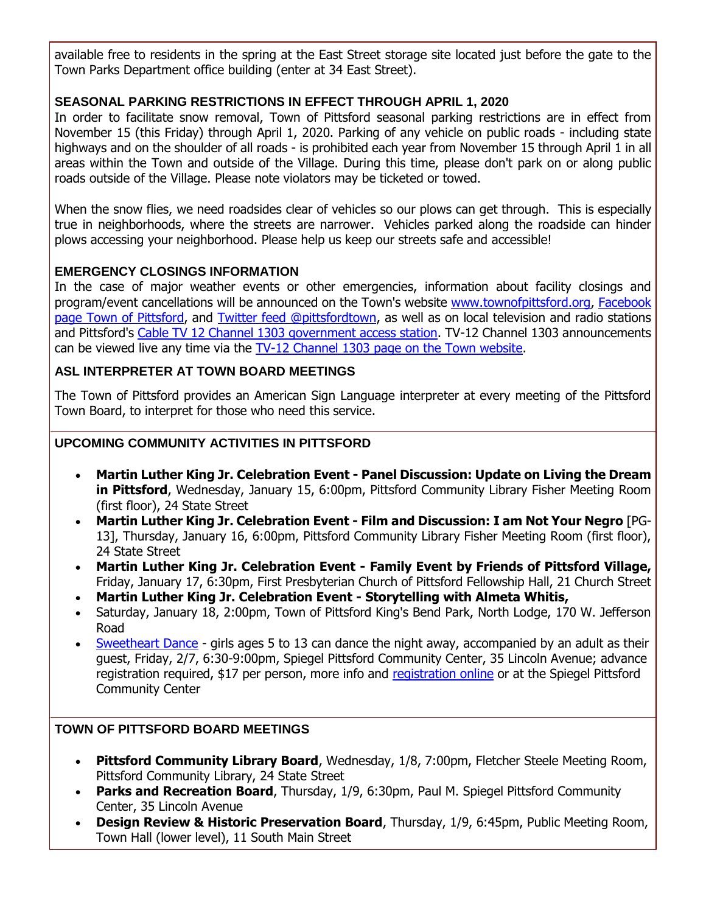available free to residents in the spring at the East Street storage site located just before the gate to the Town Parks Department office building (enter at 34 East Street).

#### **SEASONAL PARKING RESTRICTIONS IN EFFECT THROUGH APRIL 1, 2020**

In order to facilitate snow removal, Town of Pittsford seasonal parking restrictions are in effect from November 15 (this Friday) through April 1, 2020. Parking of any vehicle on public roads - including state highways and on the shoulder of all roads - is prohibited each year from November 15 through April 1 in all areas within the Town and outside of the Village. During this time, please don't park on or along public roads outside of the Village. Please note violators may be ticketed or towed.

When the snow flies, we need roadsides clear of vehicles so our plows can get through. This is especially true in neighborhoods, where the streets are narrower. Vehicles parked along the roadside can hinder plows accessing your neighborhood. Please help us keep our streets safe and accessible!

#### **EMERGENCY CLOSINGS INFORMATION**

In the case of major weather events or other emergencies, information about facility closings and program/event cancellations will be announced on the Town's website [www.townofpittsford.org,](http://townofpittsford.org/?utm_source=eNews+1-15-20&utm_campaign=eNews+01-15-20&utm_medium=email) [Facebook](https://www.facebook.com/pages/Town-of-Pittsford/139082619464200)  [page Town of Pittsford,](https://www.facebook.com/pages/Town-of-Pittsford/139082619464200) and [Twitter feed @pittsfordtown,](http://r20.rs6.net/tn.jsp?f=001gNzUSZ4BaEXLFnuthfff-bXt6YK0Q_H61e2aBlEq1gZ5I3Qo1EnXr4o8pZeC4U_GGmRjl7S0ntaUOYj4nWG1uOUICZRen__I4IVBo81OrfS4DMzE00qd1z05AC3zmyzCjvGt4NKraIUkFtqM3rY5f8uuErBpAmPY724dKfxjGmItEwF2HsLA0Q==&c=Z7S5IpREtAEgjMIc3y-oeAcsCzhmpLfiivoqHd5b_1_R0tS2eTUeUA==&ch=A3jvWrNG1PNgQlK1zws7oTger6IwoqHzMP1mGKTYTqqdnzg-1xa-EA==) as well as on local television and radio stations and Pittsford's [Cable TV 12 Channel 1303 government access station.](http://townofpittsford.org/home-channel12?utm_source=eNews+1-15-20&utm_campaign=eNews+01-15-20&utm_medium=email) TV-12 Channel 1303 announcements can be viewed live any time via the [TV-12 Channel 1303 page on the Town website.](http://townofpittsford.org/home-channel12?utm_source=eNews+1-15-20&utm_campaign=eNews+01-15-20&utm_medium=email)

#### **ASL INTERPRETER AT TOWN BOARD MEETINGS**

The Town of Pittsford provides an American Sign Language interpreter at every meeting of the Pittsford Town Board, to interpret for those who need this service.

#### **UPCOMING COMMUNITY ACTIVITIES IN PITTSFORD**

- **Martin Luther King Jr. Celebration Event - Panel Discussion: Update on Living the Dream in Pittsford**, Wednesday, January 15, 6:00pm, Pittsford Community Library Fisher Meeting Room (first floor), 24 State Street
- **Martin Luther King Jr. Celebration Event - Film and Discussion: I am Not Your Negro** [PG-13], Thursday, January 16, 6:00pm, Pittsford Community Library Fisher Meeting Room (first floor), 24 State Street
- **Martin Luther King Jr. Celebration Event - Family Event by Friends of Pittsford Village,**  Friday, January 17, 6:30pm, First Presbyterian Church of Pittsford Fellowship Hall, 21 Church Street
- **Martin Luther King Jr. Celebration Event - Storytelling with Almeta Whitis,**
- Saturday, January 18, 2:00pm, Town of Pittsford King's Bend Park, North Lodge, 170 W. Jefferson Road
- [Sweetheart Dance](http://r20.rs6.net/tn.jsp?f=001gNzUSZ4BaEXLFnuthfff-bXt6YK0Q_H61e2aBlEq1gZ5I3Qo1EnXr0LvvsKzg4qb4eDn-C_PCDZu3w0Zl8WEeQlVBNn76EcpQB0qnwakAhmVeQ4SlMUaXxkoj66BbWKIOKkTRUl1qS8EUF4MMYP7Q6jZGuglD_sCM1HcZU3Vvre5Geml6eKL-fbnbNZ5SXyVU3Mn9joytFk4HXCJeRaPf3sopNHaIcHFcE08LCYvduPj21_peLKqF2vquWPiJBg--wnDHUHDnXdurg0BZBHiuEU6_u_QyYqjPfFMbcfJ9Sk2bl63PEy_B3YRQbdi5e3qN9tolyWhRw9SuZkjkXi2125B71V5ZvOW&c=Z7S5IpREtAEgjMIc3y-oeAcsCzhmpLfiivoqHd5b_1_R0tS2eTUeUA==&ch=A3jvWrNG1PNgQlK1zws7oTger6IwoqHzMP1mGKTYTqqdnzg-1xa-EA==) girls ages 5 to 13 can dance the night away, accompanied by an adult as their guest, Friday, 2/7, 6:30-9:00pm, Spiegel Pittsford Community Center, 35 Lincoln Avenue; advance registration required, \$17 per person, more info and [registration online](http://r20.rs6.net/tn.jsp?f=001gNzUSZ4BaEXLFnuthfff-bXt6YK0Q_H61e2aBlEq1gZ5I3Qo1EnXr1w9fiRAsIlGoHsJMU_KmewR8_00vLbtuZStaDNohYRbKZwi4_dXDIznVCBcPE7XVd5XSknMPdnMlpfjDLdqJwzc_Um1_Ldceqw4Kdgqu2TMDzGjLv-PnZOqc07OuZu6UKT6eZxjZwEsHduHdrqI32fe-q48R5K5wxRUjPK8xRID-4FQvbsy9PwLQsXhgBcliR5RYtiybHx4AOpygs5sa6PDQMwfNLIgZWaPXOoIE3C4-kFGhQDsPceZ-veSGDcM4kwbsRbXFaVFCVY7lWhgV0YxOb2mFmbqM8VfRu8JDn0k&c=Z7S5IpREtAEgjMIc3y-oeAcsCzhmpLfiivoqHd5b_1_R0tS2eTUeUA==&ch=A3jvWrNG1PNgQlK1zws7oTger6IwoqHzMP1mGKTYTqqdnzg-1xa-EA==) or at the Spiegel Pittsford Community Center

#### **TOWN OF PITTSFORD BOARD MEETINGS**

- **Pittsford Community Library Board**, Wednesday, 1/8, 7:00pm, Fletcher Steele Meeting Room, Pittsford Community Library, 24 State Street
- Parks and Recreation Board, Thursday, 1/9, 6:30pm, Paul M. Spiegel Pittsford Community Center, 35 Lincoln Avenue
- **Design Review & Historic Preservation Board**, Thursday, 1/9, 6:45pm, Public Meeting Room, Town Hall (lower level), 11 South Main Street